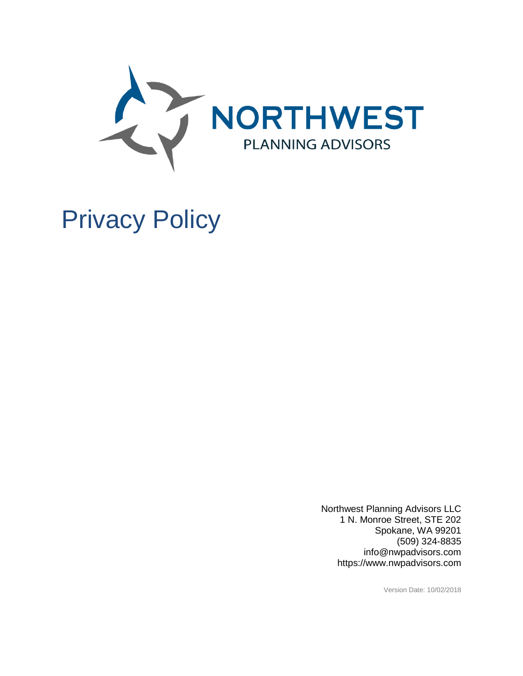

# Privacy Policy

Northwest Planning Advisors LLC 1 N. Monroe Street, STE 202 Spokane, WA 99201 (509) 324-8835 info@nwpadvisors.com https://www.nwpadvisors.com

Version Date: 10/02/2018